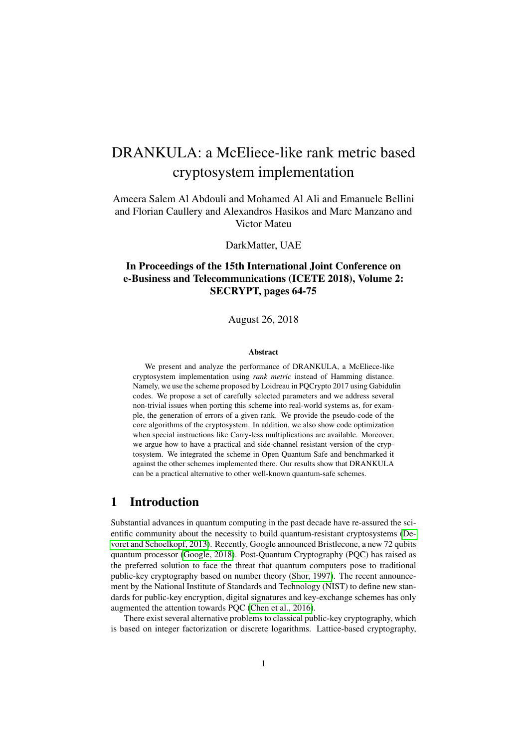# DRANKULA: a McEliece-like rank metric based cryptosystem implementation

Ameera Salem Al Abdouli and Mohamed Al Ali and Emanuele Bellini and Florian Caullery and Alexandros Hasikos and Marc Manzano and Victor Mateu

DarkMatter, UAE

# In Proceedings of the 15th International Joint Conference on e-Business and Telecommunications (ICETE 2018), Volume 2: SECRYPT, pages 64-75

August 26, 2018

#### Abstract

We present and analyze the performance of DRANKULA, a McEliece-like cryptosystem implementation using *rank metric* instead of Hamming distance. Namely, we use the scheme proposed by Loidreau in PQCrypto 2017 using Gabidulin codes. We propose a set of carefully selected parameters and we address several non-trivial issues when porting this scheme into real-world systems as, for example, the generation of errors of a given rank. We provide the pseudo-code of the core algorithms of the cryptosystem. In addition, we also show code optimization when special instructions like Carry-less multiplications are available. Moreover, we argue how to have a practical and side-channel resistant version of the cryptosystem. We integrated the scheme in Open Quantum Safe and benchmarked it against the other schemes implemented there. Our results show that DRANKULA can be a practical alternative to other well-known quantum-safe schemes.

# 1 Introduction

Substantial advances in quantum computing in the past decade have re-assured the scientific community about the necessity to build quantum-resistant cryptosystems [\(De](#page-17-0)[voret and Schoelkopf, 2013\)](#page-17-0). Recently, Google announced Bristlecone, a new 72 qubits quantum processor [\(Google, 2018\)](#page-17-1). Post-Quantum Cryptography (PQC) has raised as the preferred solution to face the threat that quantum computers pose to traditional public-key cryptography based on number theory [\(Shor, 1997\)](#page-18-0). The recent announcement by the National Institute of Standards and Technology (NIST) to define new standards for public-key encryption, digital signatures and key-exchange schemes has only augmented the attention towards PQC [\(Chen et al., 2016\)](#page-17-2).

There exist several alternative problems to classical public-key cryptography, which is based on integer factorization or discrete logarithms. Lattice-based cryptography,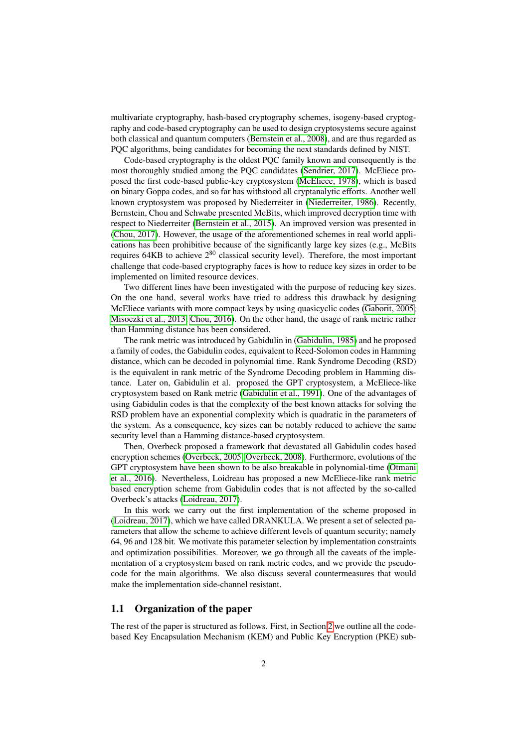multivariate cryptography, hash-based cryptography schemes, isogeny-based cryptography and code-based cryptography can be used to design cryptosystems secure against both classical and quantum computers [\(Bernstein et al., 2008\)](#page-16-0), and are thus regarded as PQC algorithms, being candidates for becoming the next standards defined by NIST.

Code-based cryptography is the oldest PQC family known and consequently is the most thoroughly studied among the PQC candidates [\(Sendrier, 2017\)](#page-18-1). McEliece proposed the first code-based public-key cryptosystem [\(McEliece, 1978\)](#page-17-3), which is based on binary Goppa codes, and so far has withstood all cryptanalytic efforts. Another well known cryptosystem was proposed by Niederreiter in [\(Niederreiter, 1986\)](#page-18-2). Recently, Bernstein, Chou and Schwabe presented McBits, which improved decryption time with respect to Niederreiter [\(Bernstein et al., 2015\)](#page-16-1). An improved version was presented in [\(Chou, 2017\)](#page-17-4). However, the usage of the aforementioned schemes in real world applications has been prohibitive because of the significantly large key sizes (e.g., McBits requires 64KB to achieve  $2^{80}$  classical security level). Therefore, the most important challenge that code-based cryptography faces is how to reduce key sizes in order to be implemented on limited resource devices.

Two different lines have been investigated with the purpose of reducing key sizes. On the one hand, several works have tried to address this drawback by designing McEliece variants with more compact keys by using quasicyclic codes [\(Gaborit, 2005;](#page-17-5) [Misoczki et al., 2013;](#page-18-3) [Chou, 2016\)](#page-17-6). On the other hand, the usage of rank metric rather than Hamming distance has been considered.

The rank metric was introduced by Gabidulin in [\(Gabidulin, 1985\)](#page-17-7) and he proposed a family of codes, the Gabidulin codes, equivalent to Reed-Solomon codes in Hamming distance, which can be decoded in polynomial time. Rank Syndrome Decoding (RSD) is the equivalent in rank metric of the Syndrome Decoding problem in Hamming distance. Later on, Gabidulin et al. proposed the GPT cryptosystem, a McEliece-like cryptosystem based on Rank metric [\(Gabidulin et al., 1991\)](#page-17-8). One of the advantages of using Gabidulin codes is that the complexity of the best known attacks for solving the RSD problem have an exponential complexity which is quadratic in the parameters of the system. As a consequence, key sizes can be notably reduced to achieve the same security level than a Hamming distance-based cryptosystem.

Then, Overbeck proposed a framework that devastated all Gabidulin codes based encryption schemes [\(Overbeck, 2005;](#page-18-4) [Overbeck, 2008\)](#page-18-5). Furthermore, evolutions of the GPT cryptosystem have been shown to be also breakable in polynomial-time [\(Otmani](#page-18-6) [et al., 2016\)](#page-18-6). Nevertheless, Loidreau has proposed a new McEliece-like rank metric based encryption scheme from Gabidulin codes that is not affected by the so-called Overbeck's attacks [\(Loidreau, 2017\)](#page-17-9).

In this work we carry out the first implementation of the scheme proposed in [\(Loidreau, 2017\)](#page-17-9), which we have called DRANKULA. We present a set of selected parameters that allow the scheme to achieve different levels of quantum security; namely 64, 96 and 128 bit. We motivate this parameter selection by implementation constraints and optimization possibilities. Moreover, we go through all the caveats of the implementation of a cryptosystem based on rank metric codes, and we provide the pseudocode for the main algorithms. We also discuss several countermeasures that would make the implementation side-channel resistant.

### 1.1 Organization of the paper

The rest of the paper is structured as follows. First, in Section [2](#page-2-0) we outline all the codebased Key Encapsulation Mechanism (KEM) and Public Key Encryption (PKE) sub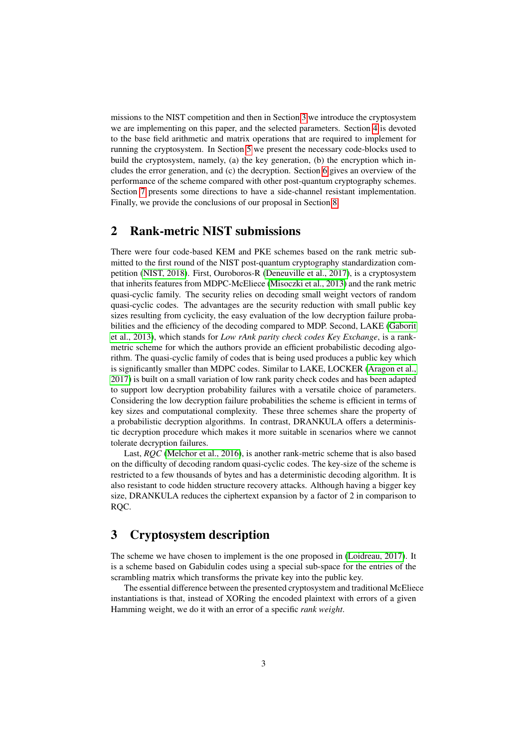missions to the NIST competition and then in Section [3](#page-2-1) we introduce the cryptosystem we are implementing on this paper, and the selected parameters. Section [4](#page-4-0) is devoted to the base field arithmetic and matrix operations that are required to implement for running the cryptosystem. In Section [5](#page-6-0) we present the necessary code-blocks used to build the cryptosystem, namely, (a) the key generation, (b) the encryption which includes the error generation, and (c) the decryption. Section [6](#page-11-0) gives an overview of the performance of the scheme compared with other post-quantum cryptography schemes. Section [7](#page-14-0) presents some directions to have a side-channel resistant implementation. Finally, we provide the conclusions of our proposal in Section [8.](#page-16-2)

# <span id="page-2-0"></span>2 Rank-metric NIST submissions

There were four code-based KEM and PKE schemes based on the rank metric submitted to the first round of the NIST post-quantum cryptography standardization competition [\(NIST, 2018\)](#page-18-7). First, Ouroboros-R [\(Deneuville et al., 2017\)](#page-17-10), is a cryptosystem that inherits features from MDPC-McEliece [\(Misoczki et al., 2013\)](#page-18-3) and the rank metric quasi-cyclic family. The security relies on decoding small weight vectors of random quasi-cyclic codes. The advantages are the security reduction with small public key sizes resulting from cyclicity, the easy evaluation of the low decryption failure probabilities and the efficiency of the decoding compared to MDP. Second, LAKE [\(Gaborit](#page-17-11) [et al., 2013\)](#page-17-11), which stands for *Low rAnk parity check codes Key Exchange*, is a rankmetric scheme for which the authors provide an efficient probabilistic decoding algorithm. The quasi-cyclic family of codes that is being used produces a public key which is significantly smaller than MDPC codes. Similar to LAKE, LOCKER [\(Aragon et al.,](#page-16-3) [2017\)](#page-16-3) is built on a small variation of low rank parity check codes and has been adapted to support low decryption probability failures with a versatile choice of parameters. Considering the low decryption failure probabilities the scheme is efficient in terms of key sizes and computational complexity. These three schemes share the property of a probabilistic decryption algorithms. In contrast, DRANKULA offers a deterministic decryption procedure which makes it more suitable in scenarios where we cannot tolerate decryption failures.

Last, *RQC* [\(Melchor et al., 2016\)](#page-17-12), is another rank-metric scheme that is also based on the difficulty of decoding random quasi-cyclic codes. The key-size of the scheme is restricted to a few thousands of bytes and has a deterministic decoding algorithm. It is also resistant to code hidden structure recovery attacks. Although having a bigger key size, DRANKULA reduces the ciphertext expansion by a factor of 2 in comparison to RQC.

# <span id="page-2-1"></span>3 Cryptosystem description

The scheme we have chosen to implement is the one proposed in [\(Loidreau, 2017\)](#page-17-9). It is a scheme based on Gabidulin codes using a special sub-space for the entries of the scrambling matrix which transforms the private key into the public key.

The essential difference between the presented cryptosystem and traditional McEliece instantiations is that, instead of XORing the encoded plaintext with errors of a given Hamming weight, we do it with an error of a specific *rank weight*.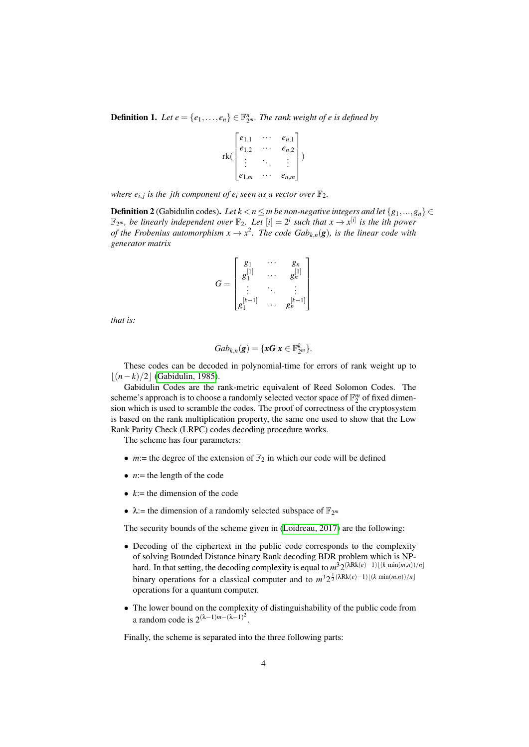**Definition 1.** Let  $e = \{e_1, \ldots, e_n\} \in \mathbb{F}_{2^m}^n$ . The rank weight of e is defined by

$$
\operatorname{rk}(\begin{bmatrix} e_{1,1} & \cdots & e_{n,1} \\ e_{1,2} & \cdots & e_{n,2} \\ \vdots & \ddots & \vdots \\ e_{1,m} & \cdots & e_{n,m} \end{bmatrix})
$$

where  $e_{i,j}$  is the jth component of  $e_i$  seen as a vector over  $\mathbb{F}_2$ .

**Definition 2** (Gabidulin codes). Let  $k < n \le m$  be non-negative integers and let  $\{g_1, ..., g_n\} \in$  $\mathbb{F}_{2^m}$ , be linearly independent over  $\mathbb{F}_2$ . Let  $[i] = 2^i$  such that  $x \to x^{[i]}$  is the ith power *of the Frobenius automorphism*  $x \to x^2$ . The code Gab<sub>k,n</sub>(g), is the linear code with *generator matrix*

$$
G = \begin{bmatrix} g_1 & \cdots & g_n \\ g_1^{[1]} & \cdots & g_n^{[1]} \\ \vdots & \ddots & \vdots \\ g_1^{[k-1]} & \cdots & g_n^{[k-1]} \end{bmatrix}
$$

*that is:*

$$
Gab_{k,n}(\mathbf{g})=\{\mathbf{xG}|\mathbf{x}\in\mathbb{F}_{2^m}^k\}.
$$

These codes can be decoded in polynomial-time for errors of rank weight up to  $|(n-k)/2|$  [\(Gabidulin, 1985\)](#page-17-7).

Gabidulin Codes are the rank-metric equivalent of Reed Solomon Codes. The scheme's approach is to choose a randomly selected vector space of  $\mathbb{F}_2^m$  of fixed dimension which is used to scramble the codes. The proof of correctness of the cryptosystem is based on the rank multiplication property, the same one used to show that the Low Rank Parity Check (LRPC) codes decoding procedure works.

The scheme has four parameters:

- $m$ := the degree of the extension of  $\mathbb{F}_2$  in which our code will be defined
- $\bullet$  *n*:= the length of the code
- $k :=$  the dimension of the code
- $\lambda$ := the dimension of a randomly selected subspace of  $\mathbb{F}_{2^m}$

The security bounds of the scheme given in [\(Loidreau, 2017\)](#page-17-9) are the following:

- Decoding of the ciphertext in the public code corresponds to the complexity of solving Bounded Distance binary Rank decoding BDR problem which is NPhard. In that setting, the decoding complexity is equal to  $m^3 2^{(\lambda Rk(e)-1)[(k \min(m,n))/n]}$ binary operations for a classical computer and to  $m^3 2^{\frac{1}{2}(\lambda Rk(e)-1)\lfloor (k \min(m,n))/n \rfloor}$ operations for a quantum computer.
- The lower bound on the complexity of distinguishability of the public code from a random code is  $2^{(\lambda-1)m-(\lambda-1)^2}$ .

Finally, the scheme is separated into the three following parts: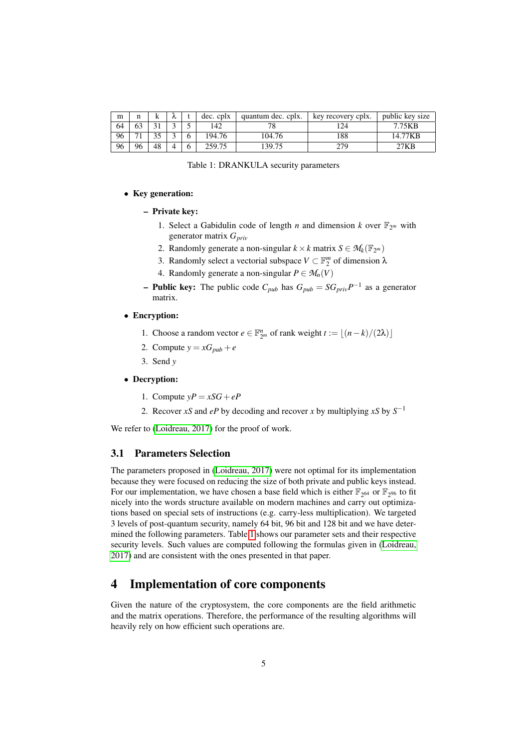| m  | n      | n   |  | dec. cplx | quantum dec. cplx. | key recovery cplx. | public key size |
|----|--------|-----|--|-----------|--------------------|--------------------|-----------------|
| 64 | 63     |     |  | 42        | $\neg$ 0           | 24                 | 7.75KB          |
| 96 | $\sim$ | . . |  | 194.76    | 104.76             | 88                 | 14.77KB         |
| 96 | 96     | 48  |  | 259.75    | 139.75             | 279                | 7KB             |

<span id="page-4-1"></span>

### • Key generation:

– Private key:

- 1. Select a Gabidulin code of length *n* and dimension *k* over  $\mathbb{F}_{2^m}$  with generator matrix *Gpriv*
- 2. Randomly generate a non-singular  $k \times k$  matrix  $S \in M_k(\mathbb{F}_{2^m})$
- 3. Randomly select a vectorial subspace  $V \subset \mathbb{F}_2^m$  of dimension  $\lambda$
- 4. Randomly generate a non-singular  $P \in M_n(V)$
- **Public key:** The public code  $C_{pub}$  has  $G_{pub} = SG_{priv}P^{-1}$  as a generator matrix.
- Encryption:
	- 1. Choose a random vector  $e \in \mathbb{F}_{2^m}^n$  of rank weight  $t := \lfloor (n-k)/(2\lambda) \rfloor$
	- 2. Compute  $y = xG_{pub} + e$
	- 3. Send *y*
- Decryption:
	- 1. Compute  $yP = xSG + eP$
	- 2. Recover *xS* and *eP* by decoding and recover *x* by multiplying *xS* by  $S^{-1}$

We refer to [\(Loidreau, 2017\)](#page-17-9) for the proof of work.

### 3.1 Parameters Selection

The parameters proposed in [\(Loidreau, 2017\)](#page-17-9) were not optimal for its implementation because they were focused on reducing the size of both private and public keys instead. For our implementation, we have chosen a base field which is either  $\mathbb{F}_{2^{64}}$  or  $\mathbb{F}_{2^{96}}$  to fit nicely into the words structure available on modern machines and carry out optimizations based on special sets of instructions (e.g. carry-less multiplication). We targeted 3 levels of post-quantum security, namely 64 bit, 96 bit and 128 bit and we have determined the following parameters. Table [1](#page-4-1) shows our parameter sets and their respective security levels. Such values are computed following the formulas given in [\(Loidreau,](#page-17-9) [2017\)](#page-17-9) and are consistent with the ones presented in that paper.

# <span id="page-4-0"></span>4 Implementation of core components

Given the nature of the cryptosystem, the core components are the field arithmetic and the matrix operations. Therefore, the performance of the resulting algorithms will heavily rely on how efficient such operations are.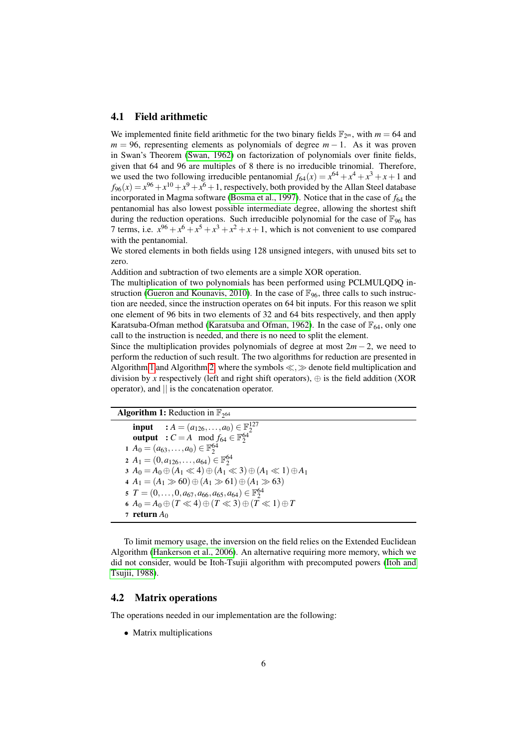### 4.1 Field arithmetic

We implemented finite field arithmetic for the two binary fields  $\mathbb{F}_{2^m}$ , with  $m = 64$  and  $m = 96$ , representing elements as polynomials of degree  $m - 1$ . As it was proven in Swan's Theorem [\(Swan, 1962\)](#page-18-8) on factorization of polynomials over finite fields, given that 64 and 96 are multiples of 8 there is no irreducible trinomial. Therefore, we used the two following irreducible pentanomial  $f_{64}(x) = x^{64} + x^4 + x^3 + x + 1$  and  $f_{96}(x) = x^{96} + x^{10} + x^9 + x^6 + 1$ , respectively, both provided by the Allan Steel database incorporated in Magma software [\(Bosma et al., 1997\)](#page-16-4). Notice that in the case of  $f_{64}$  the pentanomial has also lowest possible intermediate degree, allowing the shortest shift during the reduction operations. Such irreducible polynomial for the case of  $\mathbb{F}_{96}$  has 7 terms, i.e.  $x^{96} + x^6 + x^5 + x^3 + x^2 + x + 1$ , which is not convenient to use compared with the pentanomial.

We stored elements in both fields using 128 unsigned integers, with unused bits set to zero.

Addition and subtraction of two elements are a simple XOR operation.

The multiplication of two polynomials has been performed using PCLMULQDQ in-struction [\(Gueron and Kounavis, 2010\)](#page-17-13). In the case of  $\mathbb{F}_{96}$ , three calls to such instruction are needed, since the instruction operates on 64 bit inputs. For this reason we split one element of 96 bits in two elements of 32 and 64 bits respectively, and then apply Karatsuba-Ofman method [\(Karatsuba and Ofman, 1962\)](#page-17-14). In the case of  $\mathbb{F}_{64}$ , only one call to the instruction is needed, and there is no need to split the element.

Since the multiplication provides polynomials of degree at most  $2m - 2$ , we need to perform the reduction of such result. The two algorithms for reduction are presented in Algorithm [1](#page-5-0) and Algorithm [2,](#page-6-1) where the symbols  $\ll$ ,  $\gg$  denote field multiplication and division by *x* respectively (left and right shift operators),  $\oplus$  is the field addition (XOR operator), and || is the concatenation operator.

```
Algorithm 1: Reduction in \mathbb{F}_{2^{64}}
```

```
input : A = (a<sub>126</sub>,...,a<sub>0</sub>) \in \mathbb{F}_2^{127}<br>
output : C = A mod f<sub>64</sub> \in \mathbb{F}_2^{64}1 A<sup>0</sup> = (a_{63},...,a_0) \in \mathbb{F}_2^{64}2 A_1 = (0, a_{126}, \ldots, a_{64}) \in \mathbb{F}_2^{64}3 A<sub>0</sub> = A<sub>0</sub> ⊕ (A<sub>1</sub> ≪ 4) ⊕ (A<sub>1</sub> ≪ 3) ⊕ (A<sub>1</sub> ≪ 1) ⊕ A<sub>1</sub>
4 A<sub>1</sub> = (A<sub>1</sub> \gg 60) ⊕ (A<sub>1</sub> \gg 61) ⊕ (A<sub>1</sub> \gg 63)
5 T = (0, \ldots, 0, a_{67}, a_{66}, a_{65}, a_{64}) \in \mathbb{F}_2^{64}A_0 = A_0 \oplus (T \ll 4) \oplus (T \ll 3) \oplus (T \ll 1) \oplus T7 return A_0
```
<span id="page-5-0"></span>To limit memory usage, the inversion on the field relies on the Extended Euclidean Algorithm [\(Hankerson et al., 2006\)](#page-17-15). An alternative requiring more memory, which we did not consider, would be Itoh-Tsujii algorithm with precomputed powers [\(Itoh and](#page-17-16) [Tsujii, 1988\)](#page-17-16).

### 4.2 Matrix operations

The operations needed in our implementation are the following:

• Matrix multiplications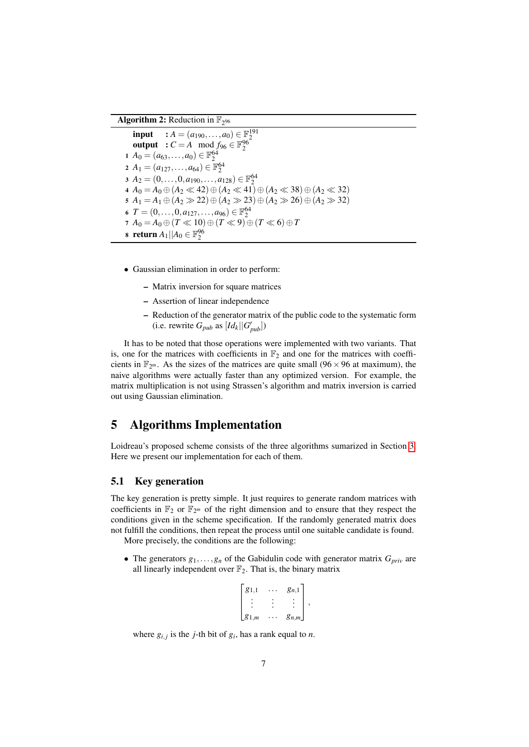# Algorithm 2: Reduction in  $\mathbb{F}_{2^{96}}$

**input** :  $A = (a_{190},...,a_0) \in \mathbb{F}_2^{191}$ <br> **output** :  $C = A \mod f_{96} \in \mathbb{F}_2^{96}$ *A*<sup>0</sup> =  $(a_{63},...,a_0) \in \mathbb{F}_2^{64}$  $A_1 = (a_{127}, \ldots, a_{64}) \in \mathbb{F}_2^{64}$  $A_2 = (0, \ldots, 0, a_{190}, \ldots, a_{128}) \in \mathbb{F}_2^{64}$ *A*<sub>0</sub> = *A*<sub>0</sub> ⊕ (*A*<sub>2</sub> ≪ 42) ⊕ (*A*<sub>2</sub> ≪ 41) ⊕ (*A*<sub>2</sub> ≪ 38) ⊕ (*A*<sub>2</sub> ≪ 32) *A*<sub>1</sub> = *A*<sub>1</sub> ⊕ (*A*<sub>2</sub> ≫ 22) ⊕ (*A*<sub>2</sub> ≫ 23) ⊕ (*A*<sub>2</sub> ≫ 26) ⊕ (*A*<sub>2</sub> ≫ 32)  $T = (0, \ldots, 0, a_{127}, \ldots, a_{96}) \in \mathbb{F}_2^{64}$  $7 A_0 = A_0 \oplus (T \ll 10) \oplus (T \ll 9) \oplus (T \ll 6) \oplus T$ **return**  $A_1 || A_0 \in \mathbb{F}_2^{96}$ 

- <span id="page-6-1"></span>• Gaussian elimination in order to perform:
	- Matrix inversion for square matrices
	- Assertion of linear independence
	- Reduction of the generator matrix of the public code to the systematic form  $(i.e.$  rewrite  $G_{pub}$  as  $\left[Id_k||G'_{pub}\right]$

It has to be noted that those operations were implemented with two variants. That is, one for the matrices with coefficients in  $\mathbb{F}_2$  and one for the matrices with coefficients in  $\mathbb{F}_{2^m}$ . As the sizes of the matrices are quite small (96  $\times$  96 at maximum), the naive algorithms were actually faster than any optimized version. For example, the matrix multiplication is not using Strassen's algorithm and matrix inversion is carried out using Gaussian elimination.

# <span id="page-6-0"></span>5 Algorithms Implementation

Loidreau's proposed scheme consists of the three algorithms sumarized in Section [3.](#page-2-1) Here we present our implementation for each of them.

### 5.1 Key generation

The key generation is pretty simple. It just requires to generate random matrices with coefficients in  $\mathbb{F}_2$  or  $\mathbb{F}_{2^m}$  of the right dimension and to ensure that they respect the conditions given in the scheme specification. If the randomly generated matrix does not fulfill the conditions, then repeat the process until one suitable candidate is found.

More precisely, the conditions are the following:

• The generators  $g_1, \ldots, g_n$  of the Gabidulin code with generator matrix  $G_{priv}$  are all linearly independent over  $\mathbb{F}_2$ . That is, the binary matrix

$$
\begin{bmatrix} g_{1,1} & \cdots & g_{n,1} \\ \vdots & \vdots & \vdots \\ g_{1,m} & \cdots & g_{n,m} \end{bmatrix},
$$

where  $g_{i,j}$  is the *j*-th bit of  $g_i$ , has a rank equal to *n*.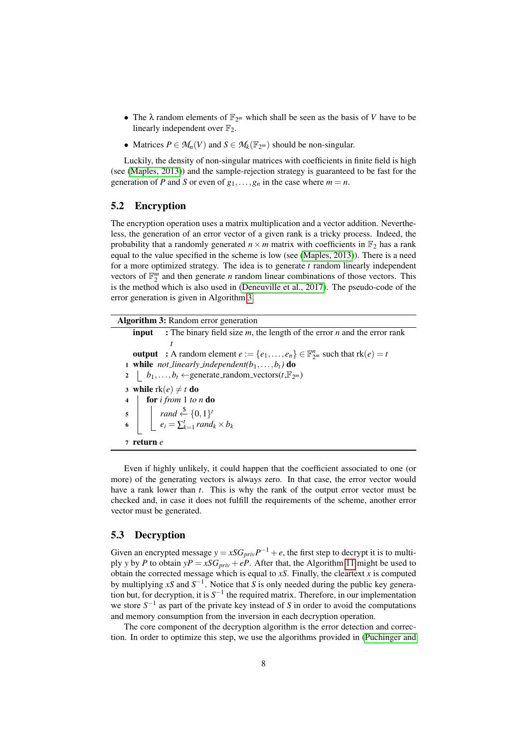- The  $\lambda$  random elements of  $\mathbb{F}_{2^m}$  which shall be seen as the basis of *V* have to be linearly independent over  $\mathbb{F}_2$ .
- Matrices  $P \in M_n(V)$  and  $S \in M_k(\mathbb{F}_{2^m})$  should be non-singular.

Luckily, the density of non-singular matrices with coefficients in finite field is high (see [\(Maples, 2013\)](#page-17-17)) and the sample-rejection strategy is guaranteed to be fast for the generation of *P* and *S* or even of  $g_1, \ldots, g_n$  in the case where  $m = n$ .

### 5.2 Encryption

The encryption operation uses a matrix multiplication and a vector addition. Nevertheless, the generation of an error vector of a given rank is a tricky process. Indeed, the probability that a randomly generated  $n \times m$  matrix with coefficients in  $\mathbb{F}_2$  has a rank equal to the value specified in the scheme is low (see [\(Maples, 2013\)](#page-17-17)). There is a need for a more optimized strategy. The idea is to generate *t* random linearly independent vectors of  $\mathbb{F}_2^m$  and then generate *n* random linear combinations of those vectors. This is the method which is also used in [\(Deneuville et al., 2017\)](#page-17-10). The pseudo-code of the error generation is given in Algorithm [3.](#page-7-0)

Algorithm 3: Random error generation input : The binary field size *m*, the length of the error *n* and the error rank *t* **output** : A random element  $e := \{e_1, \ldots, e_n\} \in \mathbb{F}_{2^m}^n$  such that  $rk(e) = t$ 1 while *not\_linearly\_independent(b*<sub>1</sub>,...,*b*<sub>t</sub>) do  $b_1, \ldots, b_t \leftarrow$ generate\_random\_vectors( $t, \mathbb{F}_{2^m}$ ) 3 while  $rk(e) \neq t$  do <sup>4</sup> for *i from* 1 *to n* do  $\mathsf{S}$  |  $\left\{ \text{rand} \stackrel{\$}{\leftarrow} \{0,1\}^t \right\}$ 6  $\Big| \Big| e_i = \sum_{k=1}^t rand_k \times b_k$ <sup>7</sup> return *e*

<span id="page-7-0"></span>Even if highly unlikely, it could happen that the coefficient associated to one (or more) of the generating vectors is always zero. In that case, the error vector would have a rank lower than *t*. This is why the rank of the output error vector must be checked and, in case it does not fulfill the requirements of the scheme, another error vector must be generated.

### 5.3 Decryption

Given an encrypted message  $y = xSG_{priv}P^{-1} + e$ , the first step to decrypt it is to multiply *y* by *P* to obtain  $yP = xSG_{priv} + eP$ . After that, the Algorithm [11](#page-13-0) might be used to obtain the corrected message which is equal to  $xS$ . Finally, the cleartext  $x$  is computed by multiplying *xS* and *S* −1 . Notice that *S* is only needed during the public key generation but, for decryption, it is *S* −1 the required matrix. Therefore, in our implementation we store  $S^{-1}$  as part of the private key instead of *S* in order to avoid the computations and memory consumption from the inversion in each decryption operation.

The core component of the decryption algorithm is the error detection and correction. In order to optimize this step, we use the algorithms provided in [\(Puchinger and](#page-18-9)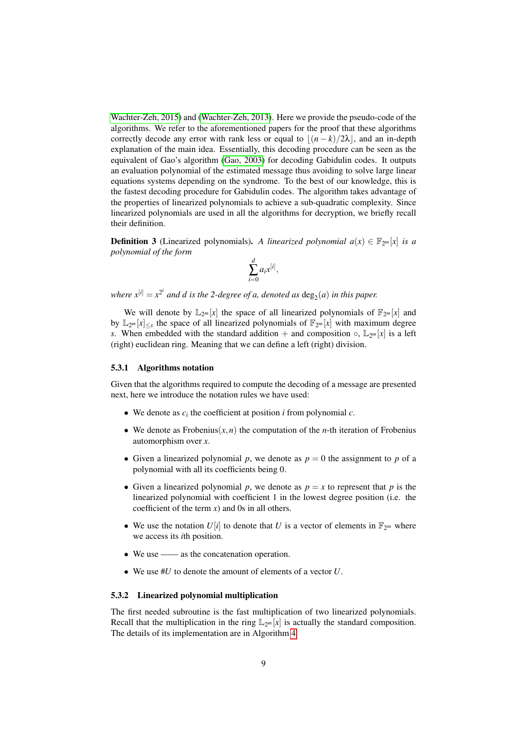[Wachter-Zeh, 2015\)](#page-18-9) and [\(Wachter-Zeh, 2013\)](#page-18-10). Here we provide the pseudo-code of the algorithms. We refer to the aforementioned papers for the proof that these algorithms correctly decode any error with rank less or equal to  $(n - k)/2\lambda$ , and an in-depth explanation of the main idea. Essentially, this decoding procedure can be seen as the equivalent of Gao's algorithm [\(Gao, 2003\)](#page-17-18) for decoding Gabidulin codes. It outputs an evaluation polynomial of the estimated message thus avoiding to solve large linear equations systems depending on the syndrome. To the best of our knowledge, this is the fastest decoding procedure for Gabidulin codes. The algorithm takes advantage of the properties of linearized polynomials to achieve a sub-quadratic complexity. Since linearized polynomials are used in all the algorithms for decryption, we briefly recall their definition.

**Definition 3** (Linearized polynomials). A linearized polynomial  $a(x) \in \mathbb{F}_{2^m}[x]$  is a *polynomial of the form*

$$
\sum_{i=0}^d a_i x^{[i]}
$$

,

where  $x^{[i]} = x^{2^i}$  and  $d$  is the 2-degree of a, denoted as  $\deg_2(a)$  in this paper.

We will denote by  $\mathbb{L}_{2^m}[x]$  the space of all linearized polynomials of  $\mathbb{F}_{2^m}[x]$  and by  $\mathbb{L}_{2^m}[x]_{\leq s}$  the space of all linearized polynomials of  $\mathbb{F}_{2^m}[x]$  with maximum degree *s*. When embedded with the standard addition + and composition  $\circ$ ,  $\mathbb{L}_{2^m}[x]$  is a left (right) euclidean ring. Meaning that we can define a left (right) division.

#### 5.3.1 Algorithms notation

Given that the algorithms required to compute the decoding of a message are presented next, here we introduce the notation rules we have used:

- We denote as  $c_i$  the coefficient at position  $i$  from polynomial  $c$ .
- We denote as Frobenius $(x, n)$  the computation of the *n*-th iteration of Frobenius automorphism over *x*.
- Given a linearized polynomial  $p$ , we denote as  $p = 0$  the assignment to  $p$  of a polynomial with all its coefficients being 0.
- Given a linearized polynomial *p*, we denote as  $p = x$  to represent that *p* is the linearized polynomial with coefficient 1 in the lowest degree position (i.e. the coefficient of the term  $x$ ) and 0s in all others.
- We use the notation  $U[i]$  to denote that  $U$  is a vector of elements in  $\mathbb{F}_{2^m}$  where we access its *i*th position.
- We use —— as the concatenation operation.
- We use #*U* to denote the amount of elements of a vector *U*.

#### 5.3.2 Linearized polynomial multiplication

The first needed subroutine is the fast multiplication of two linearized polynomials. Recall that the multiplication in the ring  $\mathbb{L}_{2^m}[x]$  is actually the standard composition. The details of its implementation are in Algorithm [4.](#page-9-0)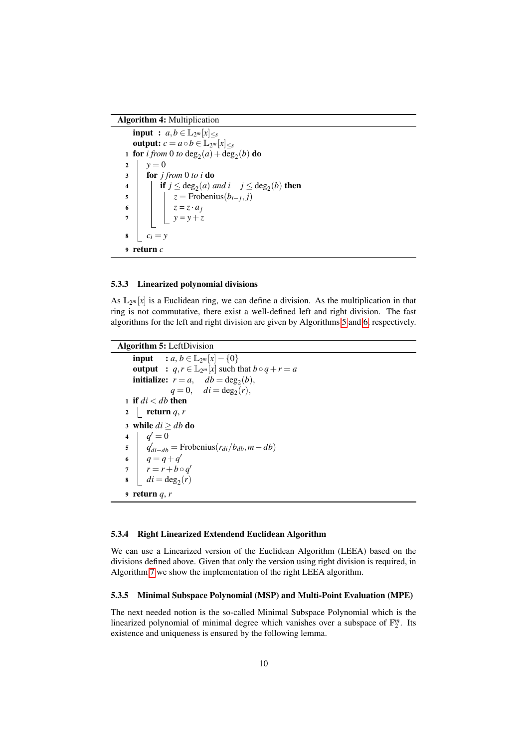#### Algorithm 4: Multiplication

```
input : a, b \in \mathbb{L}_{2^m}[x]_{\leq s}output: c = a \circ b \in \mathbb{L}_{2^m}[x]_{\leq s}1 for i from 0 to deg_2(a) + deg_2(b) do
2 y = 03 for j from 0 to i do
4 \vert if j ≤ deg<sub>2</sub>(a) and i − j ≤ deg<sub>2</sub>(b) then
z = Frobenius(b_{i-j}, j)6 z = z \cdot a_jy = y + z\mathbf{s} | c_i = y9 return c
```
#### 5.3.3 Linearized polynomial divisions

As  $\mathbb{L}_{2^m}[x]$  is a Euclidean ring, we can define a division. As the multiplication in that ring is not commutative, there exist a well-defined left and right division. The fast algorithms for the left and right division are given by Algorithms [5](#page-9-1) and [6,](#page-10-0) respectively.

```
Algorithm 5: LeftDivision
    input : a, b ∈ \mathbb{L}_{2^m}[x] - {0}output : q, r \in \mathbb{L}_{2^m}[x] such that b \circ q + r = ainitialize: r = a, db = deg_2(b),
                 q = 0, \quad di = deg_2(r),1 if di < db then
  2 \mid \text{return } q, r3 while di \geq db do
  4 q' = 0q'_{di-db} = Frobenius(r_{di}/b_{db}, m - db)
  6 q = q + q'7 r = r + b \circ q'\blacksquare di = \deg_2(r)9 return q, r
```
#### 5.3.4 Right Linearized Extendend Euclidean Algorithm

We can use a Linearized version of the Euclidean Algorithm (LEEA) based on the divisions defined above. Given that only the version using right division is required, in Algorithm [7](#page-10-1) we show the implementation of the right LEEA algorithm.

### 5.3.5 Minimal Subspace Polynomial (MSP) and Multi-Point Evaluation (MPE)

The next needed notion is the so-called Minimal Subspace Polynomial which is the linearized polynomial of minimal degree which vanishes over a subspace of  $\mathbb{F}_2^m$ . Its existence and uniqueness is ensured by the following lemma.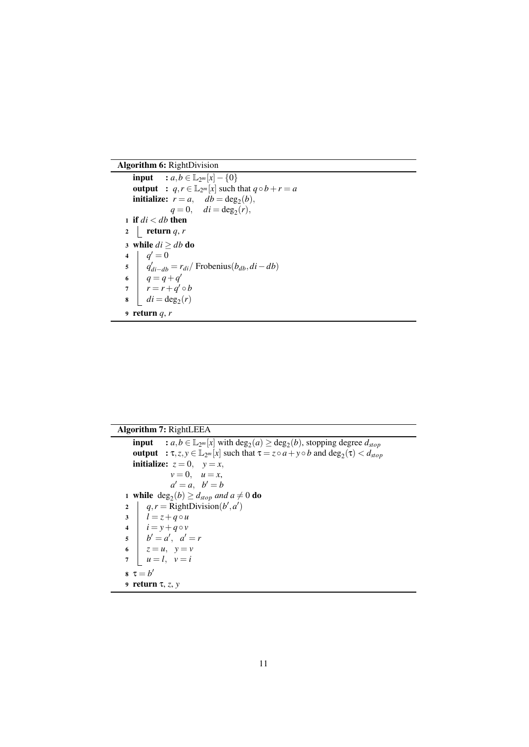Algorithm 6: RightDivision

```
input : a, b ∈ \mathbb{L}_{2^m}[x] - \{0\}output : q, r \in \mathbb{L}_{2^m}[x] such that q \circ b + r = ainitialize: r = a, db = deg_2(b),
              q = 0, \quad di = deg_2(r),1 if di < db then
2 return q, r3 while di \geq db do
4 q' = 0q'_{di-db} = r_{di} / Frobenius(b_{db}, di - db)
6 q = q + q'r = r + q' \circ b\blacksquare di = \deg_2(r)9 return q, r
```
### Algorithm 7: RightLEEA

```
input : a, b \in \mathbb{L}_{2^m}[x] with \deg_2(a) \geq \deg_2(b), stopping degree d_{stop}output : \tau, z, y \in \mathbb{L}_{2^m}[x] such that \tau = z \circ a + y \circ b and \deg_2(\tau) < d_{stop}initialize: z = 0, y = x,
               v = 0, u = x,a' = a, b' = b1 while deg_2(b) \ge d_{stop} and a \ne 0 do
2 | q, r = \text{RightDivision}(b', a')\begin{array}{ccc} 3 & | & l = z + q \circ u \end{array}4 i = y + q \circ vb' = a', \ \ a' = r6 z = u, y = vu = l, v = is \tau = b'9 return τ, z, y
```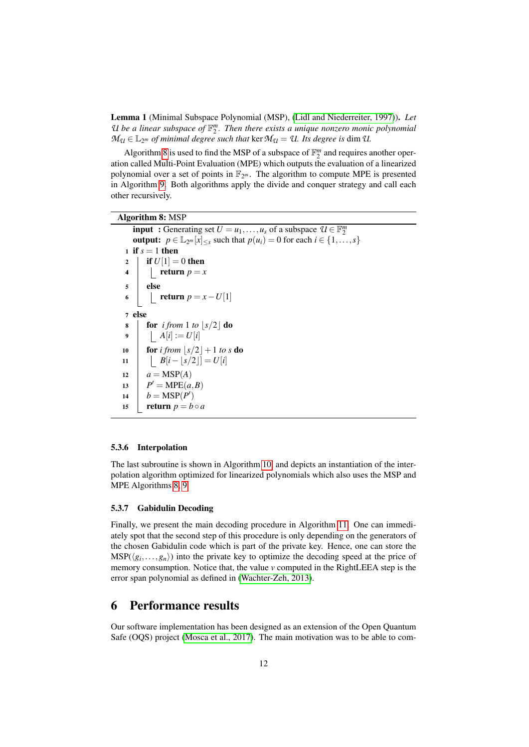Lemma 1 (Minimal Subspace Polynomial (MSP), [\(Lidl and Niederreiter, 1997\)](#page-17-19)). *Let* U be a linear subspace of  $\mathbb{F}_2^m$ . Then there exists a unique nonzero monic polynomial  $M_{\mathcal{U}} \in \mathbb{L}_{2^m}$  *of minimal degree such that* ker  $\mathcal{M}_{\mathcal{U}} = \mathcal{U}$ *. Its degree is dim U.* 

Algorithm [8](#page-11-1) is used to find the MSP of a subspace of  $\mathbb{F}_2^m$  and requires another operation called Multi-Point Evaluation (MPE) which outputs the evaluation of a linearized polynomial over a set of points in  $\mathbb{F}_{2^m}$ . The algorithm to compute MPE is presented in Algorithm [9.](#page-12-0) Both algorithms apply the divide and conquer strategy and call each other recursively.

### Algorithm 8: MSP

```
input : Generating set U = u_1, \ldots, u_s of a subspace U \in \mathbb{F}_2^moutput: p \in \mathbb{L}_{2^m}[x]_{\leq s} such that p(u_i) = 0 for each i \in \{1, \ldots, s\}1 if s = 1 then
 2 | if U[1] = 0 then
 4 return p = x5 else
 6 c return p = x - U[1]7 else
 8 for i from 1 to |s/2| do
 9 \mid A[i] := U[i]10 for i from |s/2|+1 to s do
11 b B[i - \lfloor s/2 \rfloor] = U[i]12 a = \text{MSP}(A)13 P
       P' = \text{MPE}(a, B)14 b = \text{MSP}(P')15 return p = b \circ a
```
#### <span id="page-11-1"></span>5.3.6 Interpolation

The last subroutine is shown in Algorithm [10,](#page-12-1) and depicts an instantiation of the interpolation algorithm optimized for linearized polynomials which also uses the MSP and MPE Algorithms [8,](#page-11-1) [9.](#page-12-0)

### 5.3.7 Gabidulin Decoding

Finally, we present the main decoding procedure in Algorithm [11.](#page-13-0) One can immediately spot that the second step of this procedure is only depending on the generators of the chosen Gabidulin code which is part of the private key. Hence, one can store the  $MSP(\langle g_i, \ldots, g_n \rangle)$  into the private key to optimize the decoding speed at the price of memory consumption. Notice that, the value *v* computed in the RightLEEA step is the error span polynomial as defined in [\(Wachter-Zeh, 2013\)](#page-18-10).

# <span id="page-11-0"></span>6 Performance results

Our software implementation has been designed as an extension of the Open Quantum Safe (OQS) project [\(Mosca et al., 2017\)](#page-18-11). The main motivation was to be able to com-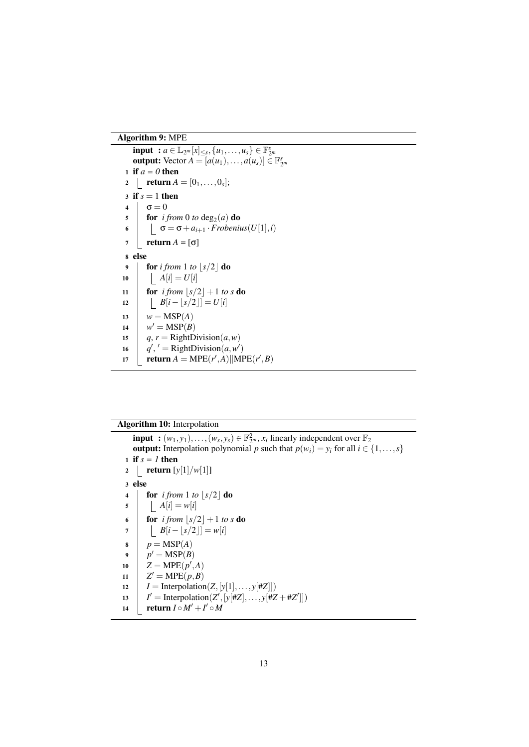# Algorithm 9: MPE

 $\text{input} : a \in \mathbb{L}_{2^m}[x]_{\leq s}, \{u_1, \ldots, u_s\} \in \mathbb{F}_{2^m}^s$ **output:** Vector  $A = [a(u_1),...,a(u_s)] \in \mathbb{F}_{2^m}^s$  if *a = 0* then  $2 \quad | \quad \mathbf{return} \ A = [0_1, \ldots, 0_s];$  $3 \text{ if } s = 1 \text{ then}$  $\sigma = 0$  $\int$  for *i from* 0 *to* deg<sub>2</sub>(*a*) do  $\sigma = \sigma + a_{i+1} \cdot \overline{Frobenius(U[1], i)}$  $7 \mid \text{return } A = [\sigma]$ 8 else  $\int$  for *i from* 1 *to*  $\lfloor s/2 \rfloor$  do  $A[i] = U[i]$ **for** *i from*  $\lfloor s/2 \rfloor + 1$  *to*  $s$  **do**  $\begin{vmatrix} B[i-\lfloor s/2 \rfloor]=U[i] \end{vmatrix}$  $w = \text{MSP}(A)$  $w' = \text{MSP}(B)$ *q*, *r* = RightDivision(*a*,*w*)  $q'$ ,  $' =$  RightDivision $(a, w')$ **return**  $A = \text{MPE}(r', A) \|\text{MPE}(r', B)$ 

<span id="page-12-1"></span><span id="page-12-0"></span>

| <b>Algorithm 10:</b> Interpolation                                                                                     |                                                                                               |  |  |  |  |  |  |
|------------------------------------------------------------------------------------------------------------------------|-----------------------------------------------------------------------------------------------|--|--|--|--|--|--|
| <b>input</b> : $(w_1, y_1), \ldots, (w_s, y_s) \in \mathbb{F}_{2m}^2$ , $x_i$ linearly independent over $\mathbb{F}_2$ |                                                                                               |  |  |  |  |  |  |
|                                                                                                                        | <b>output:</b> Interpolation polynomial p such that $p(w_i) = y_i$ for all $i \in \{1, , s\}$ |  |  |  |  |  |  |
| 1 if $s = l$ then                                                                                                      |                                                                                               |  |  |  |  |  |  |
| $\overline{2}$                                                                                                         | return $[y[1]/w[1]]$                                                                          |  |  |  |  |  |  |
| 3 else                                                                                                                 |                                                                                               |  |  |  |  |  |  |
| 4                                                                                                                      | <b>for</b> i from 1 to $ s/2 $ <b>do</b>                                                      |  |  |  |  |  |  |
| 5                                                                                                                      | $\begin{vmatrix} \n\end{vmatrix}$ $A[i] = w[i]$                                               |  |  |  |  |  |  |
| 6                                                                                                                      | <b>for</b> i from $ s/2  + 1$ to s <b>do</b>                                                  |  |  |  |  |  |  |
| 7                                                                                                                      | $B[i -  s/2 ] = w[i]$                                                                         |  |  |  |  |  |  |
| 8                                                                                                                      | $p = \text{MSP}(A)$                                                                           |  |  |  |  |  |  |
| $\boldsymbol{9}$                                                                                                       | $p' = \text{MSP}(B)$                                                                          |  |  |  |  |  |  |
| 10                                                                                                                     | $Z = \text{MPE}(p', A)$                                                                       |  |  |  |  |  |  |
| 11                                                                                                                     | $Z' = \text{MPE}(p, B)$                                                                       |  |  |  |  |  |  |
| 12                                                                                                                     | $I = \text{Interpolation}(Z, [y[1], \ldots, y[\#Z]])$                                         |  |  |  |  |  |  |
| 13                                                                                                                     | $I' =$ Interpolation(Z', [y[#Z], , y[#Z + #Z']])                                              |  |  |  |  |  |  |
| 14                                                                                                                     | return $I \circ M' + I' \circ M$                                                              |  |  |  |  |  |  |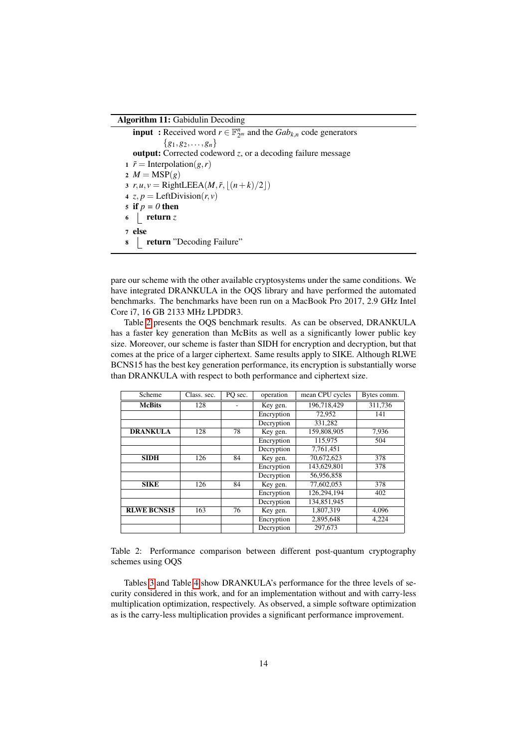#### Algorithm 11: Gabidulin Decoding

**input** : Received word  $r \in \mathbb{F}_{2^m}^n$  and the  $Gab_{k,n}$  code generators  ${g_1, g_2, \ldots, g_n}$ output: Corrected codeword *z*, or a decoding failure message 1  $\tilde{r}$  = Interpolation(*g*,*r*) 2  $M = \text{MSP}(g)$ 3  $r, u, v = \text{RightLEEA}(M, \tilde{r}, \lfloor (n+k)/2 \rfloor)$ 4 *z*,  $p = \text{LeftDivision}(r, v)$ 5 if  $p = 0$  then  $6 \mid \text{return } z$ 7 else 8 | return "Decoding Failure"

<span id="page-13-0"></span>pare our scheme with the other available cryptosystems under the same conditions. We have integrated DRANKULA in the OQS library and have performed the automated benchmarks. The benchmarks have been run on a MacBook Pro 2017, 2.9 GHz Intel Core i7, 16 GB 2133 MHz LPDDR3.

Table [2](#page-13-1) presents the OQS benchmark results. As can be observed, DRANKULA has a faster key generation than McBits as well as a significantly lower public key size. Moreover, our scheme is faster than SIDH for encryption and decryption, but that comes at the price of a larger ciphertext. Same results apply to SIKE. Although RLWE BCNS15 has the best key generation performance, its encryption is substantially worse than DRANKULA with respect to both performance and ciphertext size.

| Scheme             | Class. sec. | PO sec. | operation  | mean CPU cycles | Bytes comm. |
|--------------------|-------------|---------|------------|-----------------|-------------|
| <b>McBits</b>      | 128         |         | Key gen.   | 196.718.429     | 311,736     |
|                    |             |         | Encryption | 72.952          | 141         |
|                    |             |         | Decryption | 331.282         |             |
| <b>DRANKULA</b>    | 128         | 78      | Key gen.   | 159,808,905     | 7,936       |
|                    |             |         | Encryption | 115,975         | 504         |
|                    |             |         | Decryption | 7,761,451       |             |
| <b>SIDH</b>        | 126         | 84      | Key gen.   | 70,672,623      | 378         |
|                    |             |         | Encryption | 143,629,801     | 378         |
|                    |             |         | Decryption | 56,956,858      |             |
| <b>SIKE</b>        | 126         | 84      | Key gen.   | 77,602,053      | 378         |
|                    |             |         | Encryption | 126,294,194     | 402         |
|                    |             |         | Decryption | 134,851,945     |             |
| <b>RLWE BCNS15</b> | 163         | 76      | Key gen.   | 1,807,319       | 4,096       |
|                    |             |         | Encryption | 2,895,648       | 4,224       |
|                    |             |         | Decryption | 297.673         |             |

<span id="page-13-1"></span>Table 2: Performance comparison between different post-quantum cryptography schemes using OQS

Tables [3](#page-14-1) and Table [4](#page-14-2) show DRANKULA's performance for the three levels of security considered in this work, and for an implementation without and with carry-less multiplication optimization, respectively. As observed, a simple software optimization as is the carry-less multiplication provides a significant performance improvement.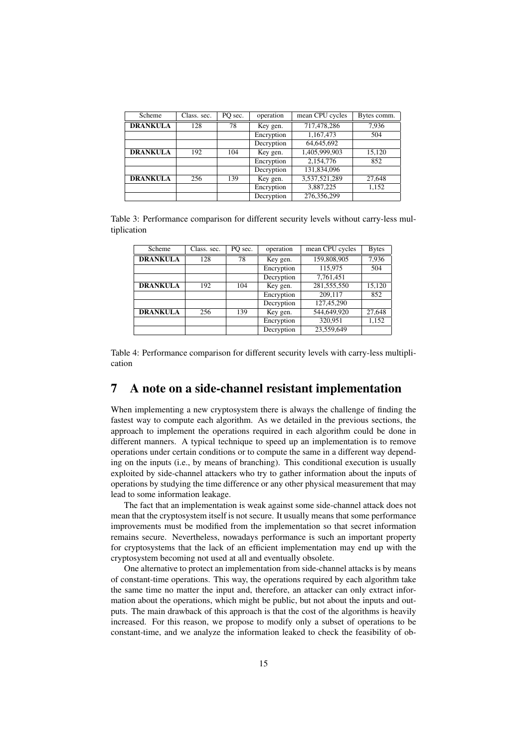| Scheme          | Class. sec. | PO sec. | operation  | mean CPU cycles | Bytes comm. |
|-----------------|-------------|---------|------------|-----------------|-------------|
| <b>DRANKULA</b> | 128         | 78      | Key gen.   | 717,478,286     | 7,936       |
|                 |             |         | Encryption | 1,167,473       | 504         |
|                 |             |         | Decryption | 64,645,692      |             |
| <b>DRANKULA</b> | 192         | 104     | Key gen.   | 1,405,999,903   | 15,120      |
|                 |             |         | Encryption | 2,154,776       | 852         |
|                 |             |         | Decryption | 131,834,096     |             |
| <b>DRANKULA</b> | 256         | 139     | Key gen.   | 3,537,521,289   | 27,648      |
|                 |             |         | Encryption | 3,887,225       | 1,152       |
|                 |             |         | Decryption | 276,356,299     |             |

<span id="page-14-1"></span>Table 3: Performance comparison for different security levels without carry-less multiplication

| Scheme          | Class. sec. | PO sec. | operation  | mean CPU cycles | <b>Bytes</b> |
|-----------------|-------------|---------|------------|-----------------|--------------|
| <b>DRANKULA</b> | 128         | 78      | Key gen.   | 159,808,905     | 7,936        |
|                 |             |         | Encryption | 115.975         | 504          |
|                 |             |         | Decryption | 7,761,451       |              |
| <b>DRANKULA</b> | 192         | 104     | Key gen.   | 281,555,550     | 15,120       |
|                 |             |         | Encryption | 209.117         | 852          |
|                 |             |         | Decryption | 127,45,290      |              |
| <b>DRANKULA</b> | 256         | 139     | Key gen.   | 544,649,920     | 27,648       |
|                 |             |         | Encryption | 320,951         | 1,152        |
|                 |             |         | Decryption | 23.559.649      |              |

<span id="page-14-2"></span>Table 4: Performance comparison for different security levels with carry-less multiplication

# <span id="page-14-0"></span>7 A note on a side-channel resistant implementation

When implementing a new cryptosystem there is always the challenge of finding the fastest way to compute each algorithm. As we detailed in the previous sections, the approach to implement the operations required in each algorithm could be done in different manners. A typical technique to speed up an implementation is to remove operations under certain conditions or to compute the same in a different way depending on the inputs (i.e., by means of branching). This conditional execution is usually exploited by side-channel attackers who try to gather information about the inputs of operations by studying the time difference or any other physical measurement that may lead to some information leakage.

The fact that an implementation is weak against some side-channel attack does not mean that the cryptosystem itself is not secure. It usually means that some performance improvements must be modified from the implementation so that secret information remains secure. Nevertheless, nowadays performance is such an important property for cryptosystems that the lack of an efficient implementation may end up with the cryptosystem becoming not used at all and eventually obsolete.

One alternative to protect an implementation from side-channel attacks is by means of constant-time operations. This way, the operations required by each algorithm take the same time no matter the input and, therefore, an attacker can only extract information about the operations, which might be public, but not about the inputs and outputs. The main drawback of this approach is that the cost of the algorithms is heavily increased. For this reason, we propose to modify only a subset of operations to be constant-time, and we analyze the information leaked to check the feasibility of ob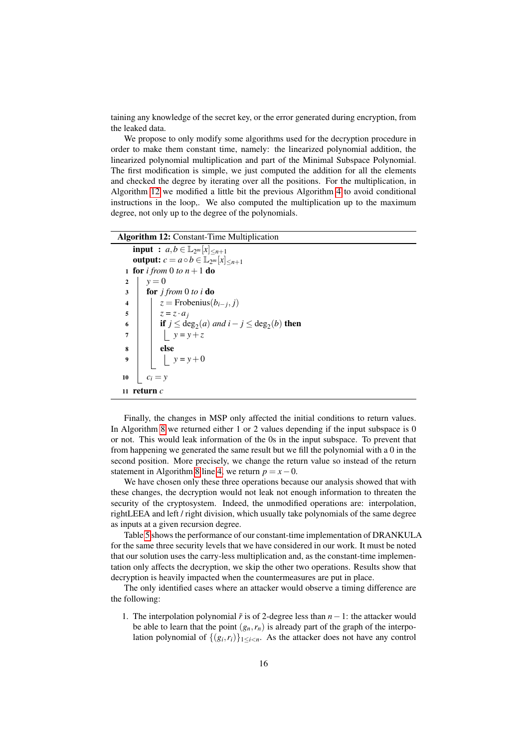taining any knowledge of the secret key, or the error generated during encryption, from the leaked data.

We propose to only modify some algorithms used for the decryption procedure in order to make them constant time, namely: the linearized polynomial addition, the linearized polynomial multiplication and part of the Minimal Subspace Polynomial. The first modification is simple, we just computed the addition for all the elements and checked the degree by iterating over all the positions. For the multiplication, in Algorithm [12](#page-15-0) we modified a little bit the previous Algorithm [4](#page-9-0) to avoid conditional instructions in the loop,. We also computed the multiplication up to the maximum degree, not only up to the degree of the polynomials.

#### Algorithm 12: Constant-Time Multiplication

```
input : a, b \in \mathbb{L}_{2^m}[x]_{\leq n+1}output: c = a \circ b \in \mathbb{L}_{2^m}[x]_{\leq n+1}1 for i from 0 to n+1 do
 y = 03 for j from 0 to i do
 4 \vert z = Frobenius(b_{i-j}, j)z = z \cdot a_j6 if j \leq deg_2(a) and i - j \leq deg_2(b) then
7 \vert \vert \vert y = y + z\vert else
 9 \vert \vert \psi = y + 010 c_i = y11 return c
```
Finally, the changes in MSP only affected the initial conditions to return values. In Algorithm [8](#page-11-1) we returned either 1 or 2 values depending if the input subspace is 0 or not. This would leak information of the 0s in the input subspace. To prevent that from happening we generated the same result but we fill the polynomial with a 0 in the second position. More precisely, we change the return value so instead of the return statement in Algorithm [8](#page-11-1) line [4,](#page-11-2) we return  $p = x - 0$ .

We have chosen only these three operations because our analysis showed that with these changes, the decryption would not leak not enough information to threaten the security of the cryptosystem. Indeed, the unmodified operations are: interpolation, rightLEEA and left / right division, which usually take polynomials of the same degree as inputs at a given recursion degree.

Table [5](#page-16-5) shows the performance of our constant-time implementation of DRANKULA for the same three security levels that we have considered in our work. It must be noted that our solution uses the carry-less multiplication and, as the constant-time implementation only affects the decryption, we skip the other two operations. Results show that decryption is heavily impacted when the countermeasures are put in place.

The only identified cases where an attacker would observe a timing difference are the following:

1. The interpolation polynomial ˜*r* is of 2-degree less than *n*−1: the attacker would be able to learn that the point  $(g_n, r_n)$  is already part of the graph of the interpolation polynomial of  $\{(g_i, r_i)\}_{1 \leq i < n}$ . As the attacker does not have any control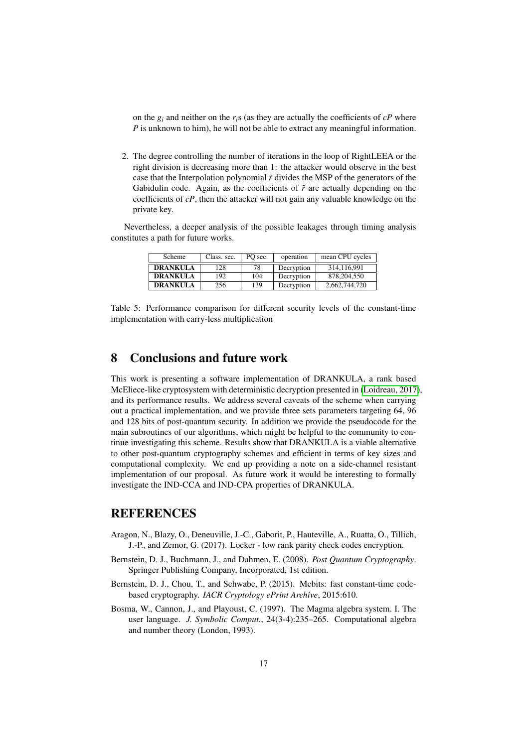on the  $g_i$  and neither on the  $r_i$ s (as they are actually the coefficients of  $cP$  where *P* is unknown to him), he will not be able to extract any meaningful information.

2. The degree controlling the number of iterations in the loop of RightLEEA or the right division is decreasing more than 1: the attacker would observe in the best case that the Interpolation polynomial ˜*r* divides the MSP of the generators of the Gabidulin code. Again, as the coefficients of  $\tilde{r}$  are actually depending on the coefficients of *cP*, then the attacker will not gain any valuable knowledge on the private key.

Nevertheless, a deeper analysis of the possible leakages through timing analysis constitutes a path for future works.

| <b>Scheme</b>   | Class. sec. | PO sec. | operation  | mean CPU cycles |
|-----------------|-------------|---------|------------|-----------------|
| <b>DRANKULA</b> | 128         | 78      | Decryption | 314,116,991     |
| <b>DRANKULA</b> | 192         | 104     | Decryption | 878, 204, 550   |
| <b>DRANKULA</b> | 256         | 139     | Decryption | 2,662,744,720   |

<span id="page-16-5"></span>Table 5: Performance comparison for different security levels of the constant-time implementation with carry-less multiplication

# <span id="page-16-2"></span>8 Conclusions and future work

This work is presenting a software implementation of DRANKULA, a rank based McEliece-like cryptosystem with deterministic decryption presented in [\(Loidreau, 2017\)](#page-17-9), and its performance results. We address several caveats of the scheme when carrying out a practical implementation, and we provide three sets parameters targeting 64, 96 and 128 bits of post-quantum security. In addition we provide the pseudocode for the main subroutines of our algorithms, which might be helpful to the community to continue investigating this scheme. Results show that DRANKULA is a viable alternative to other post-quantum cryptography schemes and efficient in terms of key sizes and computational complexity. We end up providing a note on a side-channel resistant implementation of our proposal. As future work it would be interesting to formally investigate the IND-CCA and IND-CPA properties of DRANKULA.

## **REFERENCES**

- <span id="page-16-3"></span>Aragon, N., Blazy, O., Deneuville, J.-C., Gaborit, P., Hauteville, A., Ruatta, O., Tillich, J.-P., and Zemor, G. (2017). Locker - low rank parity check codes encryption.
- <span id="page-16-0"></span>Bernstein, D. J., Buchmann, J., and Dahmen, E. (2008). *Post Quantum Cryptography*. Springer Publishing Company, Incorporated, 1st edition.
- <span id="page-16-1"></span>Bernstein, D. J., Chou, T., and Schwabe, P. (2015). Mcbits: fast constant-time codebased cryptography. *IACR Cryptology ePrint Archive*, 2015:610.
- <span id="page-16-4"></span>Bosma, W., Cannon, J., and Playoust, C. (1997). The Magma algebra system. I. The user language. *J. Symbolic Comput.*, 24(3-4):235–265. Computational algebra and number theory (London, 1993).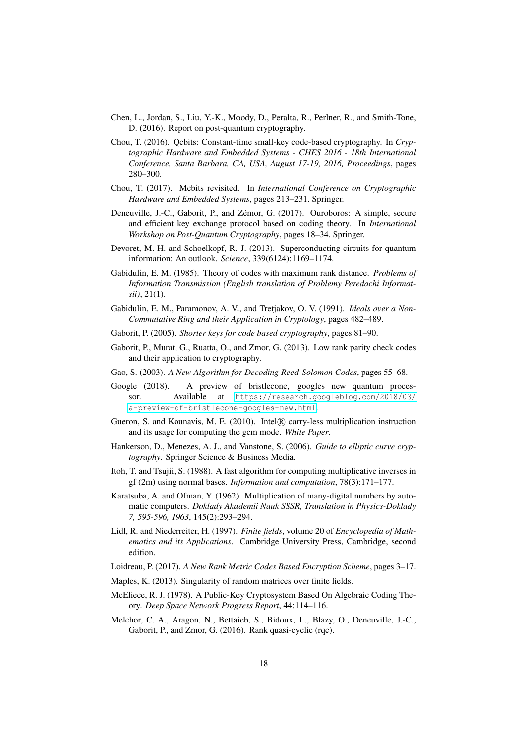- <span id="page-17-2"></span>Chen, L., Jordan, S., Liu, Y.-K., Moody, D., Peralta, R., Perlner, R., and Smith-Tone, D. (2016). Report on post-quantum cryptography.
- <span id="page-17-6"></span>Chou, T. (2016). Qcbits: Constant-time small-key code-based cryptography. In *Cryptographic Hardware and Embedded Systems - CHES 2016 - 18th International Conference, Santa Barbara, CA, USA, August 17-19, 2016, Proceedings*, pages 280–300.
- <span id="page-17-4"></span>Chou, T. (2017). Mcbits revisited. In *International Conference on Cryptographic Hardware and Embedded Systems*, pages 213–231. Springer.
- <span id="page-17-10"></span>Deneuville, J.-C., Gaborit, P., and Zémor, G. (2017). Ouroboros: A simple, secure and efficient key exchange protocol based on coding theory. In *International Workshop on Post-Quantum Cryptography*, pages 18–34. Springer.
- <span id="page-17-0"></span>Devoret, M. H. and Schoelkopf, R. J. (2013). Superconducting circuits for quantum information: An outlook. *Science*, 339(6124):1169–1174.
- <span id="page-17-7"></span>Gabidulin, E. M. (1985). Theory of codes with maximum rank distance. *Problems of Information Transmission (English translation of Problemy Peredachi Informatsii)*, 21(1).
- <span id="page-17-8"></span>Gabidulin, E. M., Paramonov, A. V., and Tretjakov, O. V. (1991). *Ideals over a Non-Commutative Ring and their Application in Cryptology*, pages 482–489.
- <span id="page-17-5"></span>Gaborit, P. (2005). *Shorter keys for code based cryptography*, pages 81–90.
- <span id="page-17-11"></span>Gaborit, P., Murat, G., Ruatta, O., and Zmor, G. (2013). Low rank parity check codes and their application to cryptography.
- <span id="page-17-18"></span>Gao, S. (2003). *A New Algorithm for Decoding Reed-Solomon Codes*, pages 55–68.
- <span id="page-17-1"></span>Google (2018). A preview of bristlecone, googles new quantum processor. Available at [https://research.googleblog.com/2018/03/](https://research.googleblog.com/2018/03/a-preview-of-bristlecone-googles-new.html) [a-preview-of-bristlecone-googles-new.html](https://research.googleblog.com/2018/03/a-preview-of-bristlecone-googles-new.html).
- <span id="page-17-13"></span>Gueron, S. and Kounavis, M. E. (2010). Intel® carry-less multiplication instruction and its usage for computing the gcm mode. *White Paper*.
- <span id="page-17-15"></span>Hankerson, D., Menezes, A. J., and Vanstone, S. (2006). *Guide to elliptic curve cryptography*. Springer Science & Business Media.
- <span id="page-17-16"></span>Itoh, T. and Tsujii, S. (1988). A fast algorithm for computing multiplicative inverses in gf (2m) using normal bases. *Information and computation*, 78(3):171–177.
- <span id="page-17-14"></span>Karatsuba, A. and Ofman, Y. (1962). Multiplication of many-digital numbers by automatic computers. *Doklady Akademii Nauk SSSR, Translation in Physics-Doklady 7, 595-596, 1963*, 145(2):293–294.
- <span id="page-17-19"></span>Lidl, R. and Niederreiter, H. (1997). *Finite fields*, volume 20 of *Encyclopedia of Mathematics and its Applications*. Cambridge University Press, Cambridge, second edition.
- <span id="page-17-9"></span>Loidreau, P. (2017). *A New Rank Metric Codes Based Encryption Scheme*, pages 3–17.
- <span id="page-17-17"></span>Maples, K. (2013). Singularity of random matrices over finite fields.
- <span id="page-17-3"></span>McEliece, R. J. (1978). A Public-Key Cryptosystem Based On Algebraic Coding Theory. *Deep Space Network Progress Report*, 44:114–116.
- <span id="page-17-12"></span>Melchor, C. A., Aragon, N., Bettaieb, S., Bidoux, L., Blazy, O., Deneuville, J.-C., Gaborit, P., and Zmor, G. (2016). Rank quasi-cyclic (rqc).